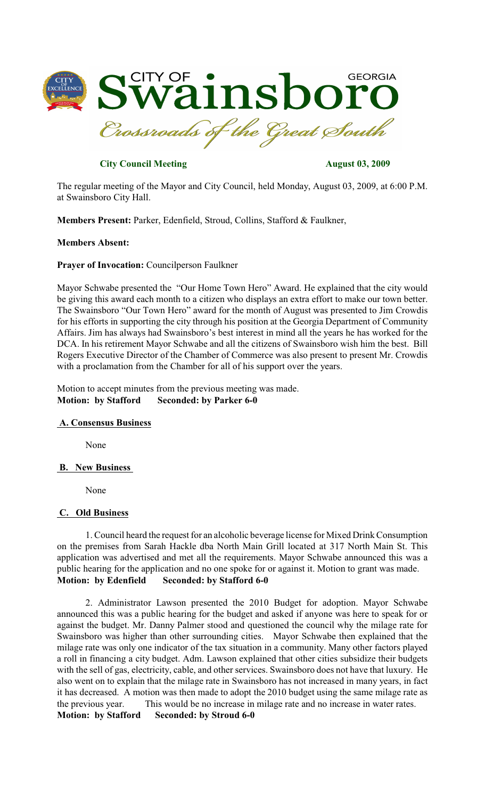

# **City Council Meeting August 03, 2009**

The regular meeting of the Mayor and City Council, held Monday, August 03, 2009, at 6:00 P.M. at Swainsboro City Hall.

**Members Present:** Parker, Edenfield, Stroud, Collins, Stafford & Faulkner,

### **Members Absent:**

#### **Prayer of Invocation:** Councilperson Faulkner

Mayor Schwabe presented the "Our Home Town Hero" Award. He explained that the city would be giving this award each month to a citizen who displays an extra effort to make our town better. The Swainsboro "Our Town Hero" award for the month of August was presented to Jim Crowdis for his efforts in supporting the city through his position at the Georgia Department of Community Affairs. Jim has always had Swainsboro's best interest in mind all the years he has worked for the DCA. In his retirement Mayor Schwabe and all the citizens of Swainsboro wish him the best. Bill Rogers Executive Director of the Chamber of Commerce was also present to present Mr. Crowdis with a proclamation from the Chamber for all of his support over the years.

Motion to accept minutes from the previous meeting was made. **Motion: by Stafford Seconded: by Parker 6-0**

#### **A. Consensus Business**

None

#### **B. New Business**

None

#### **C. Old Business**

1. Council heard the request for an alcoholic beverage license for Mixed Drink Consumption on the premises from Sarah Hackle dba North Main Grill located at 317 North Main St. This application was advertised and met all the requirements. Mayor Schwabe announced this was a public hearing for the application and no one spoke for or against it. Motion to grant was made. **Motion: by Edenfield Seconded: by Stafford 6-0**

2. Administrator Lawson presented the 2010 Budget for adoption. Mayor Schwabe announced this was a public hearing for the budget and asked if anyone was here to speak for or against the budget. Mr. Danny Palmer stood and questioned the council why the milage rate for Swainsboro was higher than other surrounding cities. Mayor Schwabe then explained that the milage rate was only one indicator of the tax situation in a community. Many other factors played a roll in financing a city budget. Adm. Lawson explained that other cities subsidize their budgets with the sell of gas, electricity, cable, and other services. Swainsboro does not have that luxury. He also went on to explain that the milage rate in Swainsboro has not increased in many years, in fact it has decreased. A motion was then made to adopt the 2010 budget using the same milage rate as the previous year. This would be no increase in milage rate and no increase in water rates. **Motion: by Stafford Seconded: by Stroud 6-0**